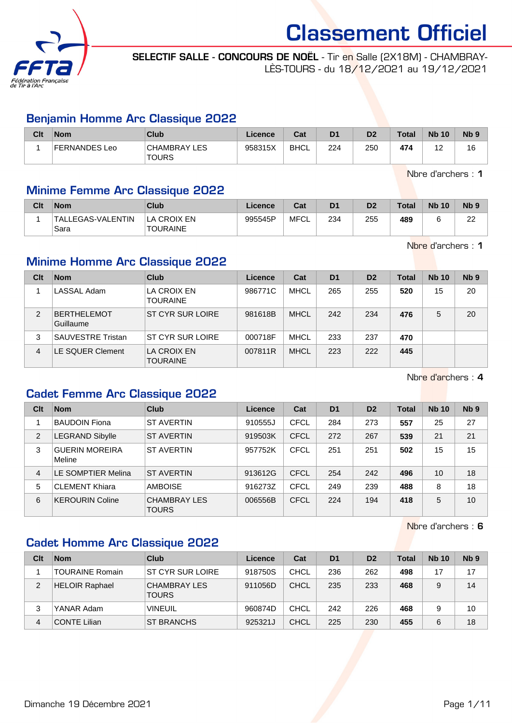

SELECTIF SALLE - CONCOURS DE NOËL - Tir en Salle (2X18M) - CHAMBRAY-LÈS-TOURS - du 18/12/2021 au 19/12/2021

#### Benjamin Homme Arc Classique 2022

| Clt | <b>Nom</b>    | Club                                | Licence | Cat         | D <sub>1</sub> | D <sub>2</sub> | Total | <b>Nb 10</b> | N <sub>b</sub> <sub>9</sub> |
|-----|---------------|-------------------------------------|---------|-------------|----------------|----------------|-------|--------------|-----------------------------|
|     | FERNANDES Leo | <b>CHAMBRAY LES</b><br><b>TOURS</b> | 958315X | <b>BHCL</b> | 224            | 250            | 474   | ╺            | 16                          |

Nbre d'archers : 1

#### Minime Femme Arc Classique 2022

| Clt | <b>Nom</b>                | <b>Club</b>             | Licence | Cat  | D <sub>1</sub> | D <sub>2</sub> | <b>Total</b> | <b>Nb 10</b> | N <sub>b</sub> <sub>9</sub> |
|-----|---------------------------|-------------------------|---------|------|----------------|----------------|--------------|--------------|-----------------------------|
|     | TALLEGAS-VALENTIN<br>Sara | LA CROIX EN<br>TOURAINE | 995545P | MFCL | 234            | 255            | 489          |              | nn<br>"                     |

Nbre d'archers : 1

## Minime Homme Arc Classique 2022

| Clt            | <b>Nom</b>                      | Club                    | Licence | Cat         | D <sub>1</sub> | D <sub>2</sub> | Total | <b>Nb 10</b> | Nb <sub>9</sub> |
|----------------|---------------------------------|-------------------------|---------|-------------|----------------|----------------|-------|--------------|-----------------|
|                | LASSAL Adam                     | LA CROIX EN<br>TOURAINE | 986771C | MHCL        | 265            | 255            | 520   | 15           | 20              |
| $\overline{2}$ | <b>BERTHELEMOT</b><br>Guillaume | ST CYR SUR LOIRE        | 981618B | <b>MHCL</b> | 242            | 234            | 476   | 5            | 20              |
| 3              | <b>SAUVESTRE Tristan</b>        | ST CYR SUR LOIRE        | 000718F | MHCL        | 233            | 237            | 470   |              |                 |
| 4              | LE SQUER Clement                | LA CROIX EN<br>TOURAINE | 007811R | <b>MHCL</b> | 223            | 222            | 445   |              |                 |

Nbre d'archers : 4

### Cadet Femme Arc Classique 2022

| Clt | <b>Nom</b>                      | Club                         | Licence | Cat         | D <sub>1</sub> | D <sub>2</sub> | <b>Total</b> | <b>Nb 10</b> | Nb <sub>9</sub> |
|-----|---------------------------------|------------------------------|---------|-------------|----------------|----------------|--------------|--------------|-----------------|
|     | <b>BAUDOIN Fiona</b>            | <b>ST AVERTIN</b>            | 910555J | <b>CFCL</b> | 284            | 273            | 557          | 25           | 27              |
| 2   | <b>LEGRAND Sibylle</b>          | <b>ST AVERTIN</b>            | 919503K | <b>CFCL</b> | 272            | 267            | 539          | 21           | 21              |
| 3   | <b>GUERIN MOREIRA</b><br>Meline | <b>ST AVERTIN</b>            | 957752K | <b>CFCL</b> | 251            | 251            | 502          | 15           | 15              |
| 4   | LE SOMPTIER Melina              | <b>ST AVERTIN</b>            | 913612G | CFCL        | 254            | 242            | 496          | 10           | 18              |
| 5   | <b>CLEMENT Khiara</b>           | <b>AMBOISE</b>               | 916273Z | <b>CFCL</b> | 249            | 239            | 488          | 8            | 18              |
| 6   | <b>KEROURIN Coline</b>          | <b>CHAMBRAY LES</b><br>TOURS | 006556B | <b>CFCL</b> | 224            | 194            | 418          | 5            | 10              |

Nbre d'archers : 6

### Cadet Homme Arc Classique 2022

| Clt | <b>Nom</b>             | Club                                | Licence | Cat         | D <sub>1</sub> | D <sub>2</sub> | <b>Total</b> | <b>Nb 10</b> | N <sub>b</sub> <sub>9</sub> |
|-----|------------------------|-------------------------------------|---------|-------------|----------------|----------------|--------------|--------------|-----------------------------|
|     | <b>TOURAINE Romain</b> | ST CYR SUR LOIRE                    | 918750S | CHCL        | 236            | 262            | 498          | 17           | 17                          |
| 2   | <b>HELOIR Raphael</b>  | <b>CHAMBRAY LES</b><br><b>TOURS</b> | 911056D | CHCL        | 235            | 233            | 468          | 9            | 14                          |
| 3   | YANAR Adam             | <b>VINEUIL</b>                      | 960874D | <b>CHCL</b> | 242            | 226            | 468          | 9            | 10                          |
| 4   | <b>CONTE Lilian</b>    | <b>ST BRANCHS</b>                   | 925321J | CHCL        | 225            | 230            | 455          | 6            | 18                          |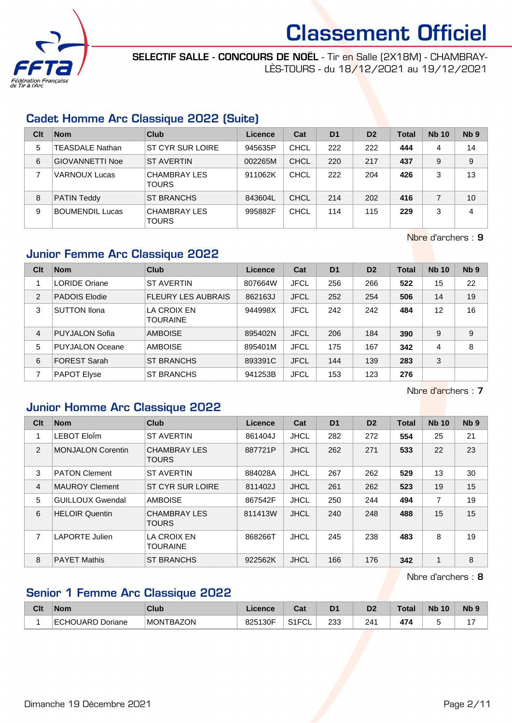

SELECTIF SALLE - CONCOURS DE NOËL - Tir en Salle (2X18M) - CHAMBRAY-LÈS-TOURS - du 18/12/2021 au 19/12/2021

### Cadet Homme Arc Classique 2022 (Suite)

| Clt | <b>Nom</b>             | Club                                | Licence | Cat         | D <sub>1</sub> | D <sub>2</sub> | Total | <b>Nb 10</b> | Nb <sub>9</sub> |
|-----|------------------------|-------------------------------------|---------|-------------|----------------|----------------|-------|--------------|-----------------|
| 5   | <b>TEASDALE Nathan</b> | ST CYR SUR LOIRE                    | 945635P | <b>CHCL</b> | 222            | 222            | 444   | 4            | 14              |
| 6   | <b>GIOVANNETTI Noe</b> | <b>ST AVERTIN</b>                   | 002265M | CHCL        | 220            | 217            | 437   | 9            | 9               |
|     | <b>VARNOUX Lucas</b>   | <b>CHAMBRAY LES</b><br><b>TOURS</b> | 911062K | CHCL        | 222            | 204            | 426   | 3            | 13              |
| 8   | <b>PATIN Teddy</b>     | ST BRANCHS                          | 843604L | CHCL        | 214            | 202            | 416   |              | 10              |
| 9   | <b>BOUMENDIL Lucas</b> | <b>CHAMBRAY LES</b><br>TOURS        | 995882F | CHCL        | 114            | 115            | 229   | 3            | 4               |

Nbre d'archers : 9

### Junior Femme Arc Classique 2022

| Clt | <b>Nom</b>             | Club                           | <b>Licence</b> | Cat         | D <sub>1</sub> | D <sub>2</sub> | <b>Total</b> | <b>Nb 10</b> | Nb <sub>9</sub> |
|-----|------------------------|--------------------------------|----------------|-------------|----------------|----------------|--------------|--------------|-----------------|
|     | <b>LORIDE Oriane</b>   | <b>ST AVERTIN</b>              | 807664W        | <b>JFCL</b> | 256            | 266            | 522          | 15           | 22              |
| 2   | <b>PADOIS Elodie</b>   | <b>FLEURY LES AUBRAIS</b>      | 862163J        | <b>JFCL</b> | 252            | 254            | 506          | 14           | 19              |
| 3   | <b>SUTTON Ilona</b>    | LA CROIX EN<br><b>TOURAINE</b> | 944998X        | <b>JFCL</b> | 242            | 242            | 484          | 12           | 16              |
| 4   | <b>PUYJALON Sofia</b>  | <b>AMBOISE</b>                 | 895402N        | <b>JFCL</b> | 206            | 184            | 390          | 9            | 9               |
| 5   | <b>PUYJALON Oceane</b> | <b>AMBOISE</b>                 | 895401M        | <b>JFCL</b> | 175            | 167            | 342          | 4            | 8               |
| 6   | <b>FOREST Sarah</b>    | ST BRANCHS                     | 893391C        | <b>JFCL</b> | 144            | 139            | 283          | 3            |                 |
|     | <b>PAPOT Elyse</b>     | <b>ST BRANCHS</b>              | 941253B        | <b>JFCL</b> | 153            | 123            | 276          |              |                 |

Nbre d'archers : 7

#### Junior Homme Arc Classique 2022

| Clt | <b>Nom</b>               | Club                                | Licence | Cat         | D <sub>1</sub> | D <sub>2</sub> | <b>Total</b> | <b>Nb 10</b> | Nb <sub>9</sub> |
|-----|--------------------------|-------------------------------------|---------|-------------|----------------|----------------|--------------|--------------|-----------------|
| 1   | LEBOT EloÎm              | <b>ST AVERTIN</b>                   | 861404J | <b>JHCL</b> | 282            | 272            | 554          | 25           | 21              |
| 2   | <b>MONJALON Corentin</b> | <b>CHAMBRAY LES</b><br><b>TOURS</b> | 887721P | <b>JHCL</b> | 262            | 271            | 533          | 22           | 23              |
| 3   | <b>PATON Clement</b>     | <b>ST AVERTIN</b>                   | 884028A | <b>JHCL</b> | 267            | 262            | 529          | 13           | 30              |
| 4   | <b>MAUROY Clement</b>    | ST CYR SUR LOIRE                    | 811402J | <b>JHCL</b> | 261            | 262            | 523          | 19           | 15              |
| 5   | <b>GUILLOUX Gwendal</b>  | <b>AMBOISE</b>                      | 867542F | <b>JHCL</b> | 250            | 244            | 494          | 7            | 19              |
| 6   | <b>HELOIR Quentin</b>    | <b>CHAMBRAY LES</b><br><b>TOURS</b> | 811413W | <b>JHCL</b> | 240            | 248            | 488          | 15           | 15              |
| 7   | <b>LAPORTE Julien</b>    | LA CROIX EN<br><b>TOURAINE</b>      | 868266T | <b>JHCL</b> | 245            | 238            | 483          | 8            | 19              |
| 8   | <b>PAYET Mathis</b>      | <b>ST BRANCHS</b>                   | 922562K | <b>JHCL</b> | 166            | 176            | 342          | 1            | 8               |

Nbre d'archers : 8

# Senior 1 Femme Arc Classique 2022

| Clt | <b>Nom</b>       | <b>Club</b>          | ∟icence | $\sim$<br>⊍aι                | D <sub>1</sub> | n.  | Total | <b>N<sub>b</sub></b><br>10 | <b>N<sub>b</sub></b> |
|-----|------------------|----------------------|---------|------------------------------|----------------|-----|-------|----------------------------|----------------------|
|     | ECHOUARD Doriane | TBAZON<br><b>MON</b> | 825130F | 0.4501<br>. ⊢<br>. ا ت<br>◡∟ | 233            | 241 | 474   |                            |                      |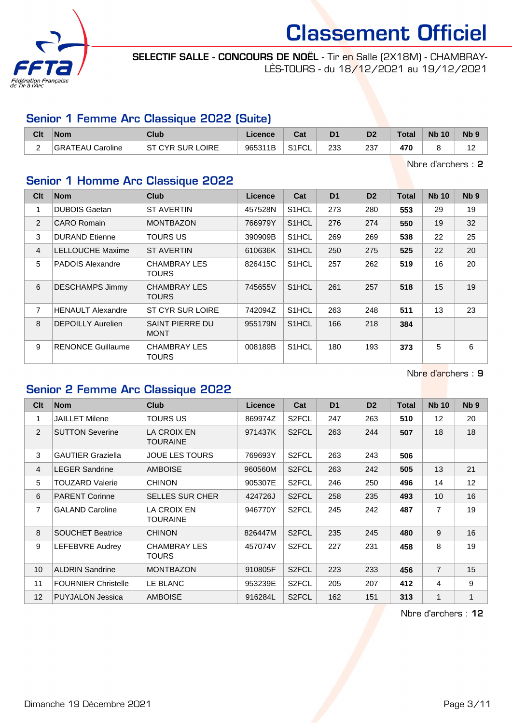

SELECTIF SALLE - CONCOURS DE NOËL - Tir en Salle (2X18M) - CHAMBRAY-LÈS-TOURS - du 18/12/2021 au 19/12/2021

#### Senior 1 Femme Arc Classique 2022 (Suite)

| Clt | <b>Nom</b>                              | <b>Club</b>                       | ∟icence | יה<br>⊍aι          | D <sub>1</sub> | D2  | $\tau$ otal | <b>N<sub>b</sub></b><br>10 | N <sub>b</sub> 9  |
|-----|-----------------------------------------|-----------------------------------|---------|--------------------|----------------|-----|-------------|----------------------------|-------------------|
| -   | <sup>'</sup> Caroline<br><b>GRATEAU</b> | <b>LOIRE</b><br><b>ST CYR SUR</b> | 965311B | S <sub>1</sub> FCL | 233            | 237 | 470         |                            | $\sqrt{2}$<br>. . |

Nbre d'archers : 2

# Senior 1 Homme Arc Classique 2022

| Clt            | <b>Nom</b>               | Club                           | Licence | Cat                | D <sub>1</sub> | D <sub>2</sub> | <b>Total</b> | <b>Nb 10</b> | Nb <sub>9</sub> |
|----------------|--------------------------|--------------------------------|---------|--------------------|----------------|----------------|--------------|--------------|-----------------|
| 1              | <b>DUBOIS Gaetan</b>     | ST AVERTIN                     | 457528N | S1HCL              | 273            | 280            | 553          | 29           | 19              |
| 2              | CARO Romain              | <b>MONTBAZON</b>               | 766979Y | S1HCL              | 276            | 274            | 550          | 19           | 32              |
| 3              | <b>DURAND</b> Etienne    | TOURS US                       | 390909B | S <sub>1</sub> HCL | 269            | 269            | 538          | 22           | 25              |
| $\overline{4}$ | <b>LELLOUCHE Maxime</b>  | <b>ST AVERTIN</b>              | 610636K | S1HCL              | 250            | 275            | 525          | 22           | 20              |
| 5              | <b>PADOIS Alexandre</b>  | <b>CHAMBRAY LES</b><br>TOURS.  | 826415C | S1HCL              | 257            | 262            | 519          | 16           | 20              |
| 6              | <b>DESCHAMPS Jimmy</b>   | <b>CHAMBRAY LES</b><br>TOURS.  | 745655V | S1HCL              | 261            | 257            | 518          | 15           | 19              |
| $\overline{7}$ | <b>HENAULT Alexandre</b> | ST CYR SUR LOIRE               | 742094Z | S1HCL              | 263            | 248            | 511          | 13           | 23              |
| 8              | <b>DEPOILLY Aurelien</b> | SAINT PIERRE DU<br><b>MONT</b> | 955179N | S <sub>1</sub> HCL | 166            | 218            | 384          |              |                 |
| 9              | <b>RENONCE Guillaume</b> | <b>CHAMBRAY LES</b><br>TOURS   | 008189B | S1HCL              | 180            | 193            | 373          | 5            | 6               |

Nbre d'archers : 9

#### Senior 2 Femme Arc Classique 2022

| Clt            | <b>Nom</b>                 | <b>Club</b>                    | Licence | Cat                | D <sub>1</sub> | D <sub>2</sub> | <b>Total</b> | <b>Nb 10</b>   | N <sub>b</sub> <sub>9</sub> |
|----------------|----------------------------|--------------------------------|---------|--------------------|----------------|----------------|--------------|----------------|-----------------------------|
| 1              | JAILLET Milene             | TOURS US                       | 869974Z | S <sub>2</sub> FCL | 247            | 263            | 510          | 12             | 20                          |
| 2              | <b>SUTTON Severine</b>     | <b>LA CROIX EN</b><br>TOURAINE | 971437K | S <sub>2</sub> FCL | 263            | 244            | 507          | 18             | 18                          |
| 3              | <b>GAUTIER Graziella</b>   | <b>JOUE LES TOURS</b>          | 769693Y | S <sub>2</sub> FCL | 263            | 243            | 506          |                |                             |
| $\overline{4}$ | <b>LEGER Sandrine</b>      | <b>AMBOISE</b>                 | 960560M | S <sub>2</sub> FCL | 263            | 242            | 505          | 13             | 21                          |
| 5              | TOUZARD Valerie            | <b>CHINON</b>                  | 905307E | S <sub>2</sub> FCL | 246            | 250            | 496          | 14             | 12                          |
| 6              | <b>PARENT Corinne</b>      | <b>SELLES SUR CHER</b>         | 424726J | S <sub>2</sub> FCL | 258            | 235            | 493          | 10             | 16                          |
| $\overline{7}$ | <b>GALAND Caroline</b>     | <b>LA CROIX EN</b><br>TOURAINE | 946770Y | S <sub>2</sub> FCL | 245            | 242            | 487          | $\overline{7}$ | 19                          |
| 8              | <b>SOUCHET Beatrice</b>    | <b>CHINON</b>                  | 826447M | S <sub>2</sub> FCL | 235            | 245            | 480          | 9              | 16                          |
| 9              | LEFEBVRE Audrey            | <b>CHAMBRAY LES</b><br>TOURS.  | 457074V | S <sub>2</sub> FCL | 227            | 231            | 458          | 8              | 19                          |
| 10             | <b>ALDRIN Sandrine</b>     | <b>MONTBAZON</b>               | 910805F | S <sub>2</sub> FCL | 223            | 233            | 456          | $\overline{7}$ | 15                          |
| 11             | <b>FOURNIER Christelle</b> | LE BLANC                       | 953239E | S <sub>2</sub> FCL | 205            | 207            | 412          | 4              | 9                           |
| 12             | <b>PUYJALON Jessica</b>    | <b>AMBOISE</b>                 | 916284L | S <sub>2</sub> FCL | 162            | 151            | 313          | 1              | 1                           |

Nbre d'archers : 12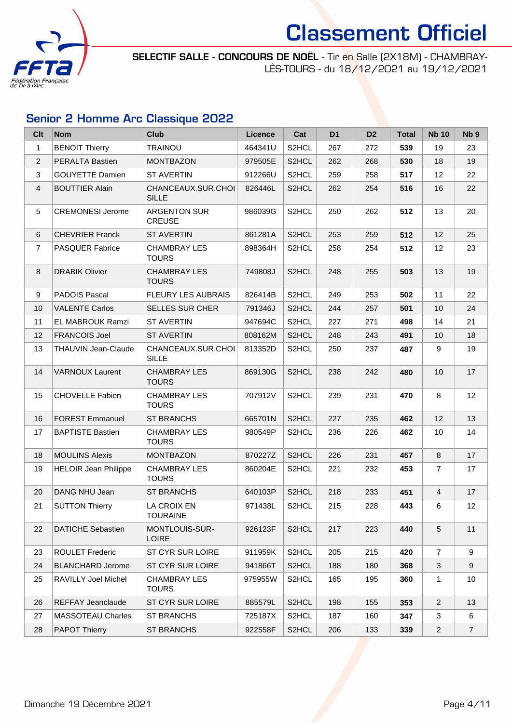

SELECTIF SALLE - CONCOURS DE NOËL - Tir en Salle (2X18M) - CHAMBRAY-LÈS-TOURS - du 18/12/2021 au 19/12/2021

# Senior 2 Homme Arc Classique 2022

| <b>Clt</b>     | <b>Nom</b>                  | <b>Club</b>                           | <b>Licence</b> | Cat                | D <sub>1</sub> | D <sub>2</sub> | <b>Total</b> | <b>Nb 10</b>   | Nb <sub>9</sub> |
|----------------|-----------------------------|---------------------------------------|----------------|--------------------|----------------|----------------|--------------|----------------|-----------------|
| $\mathbf{1}$   | <b>BENOIT Thierry</b>       | <b>TRAINOU</b>                        | 464341U        | S2HCL              | 267            | 272            | 539          | 19             | 23              |
| $\overline{2}$ | <b>PERALTA Bastien</b>      | <b>MONTBAZON</b>                      | 979505E        | S <sub>2</sub> HCL | 262            | 268            | 530          | 18             | 19              |
| 3              | <b>GOUYETTE Damien</b>      | <b>ST AVERTIN</b>                     | 912266U        | S2HCL              | 259            | 258            | 517          | 12             | 22              |
| $\overline{4}$ | <b>BOUTTIER Alain</b>       | CHANCEAUX.SUR.CHOI<br><b>SILLE</b>    | 826446L        | S <sub>2</sub> HCL | 262            | 254            | 516          | 16             | 22              |
| 5              | <b>CREMONESI Jerome</b>     | <b>ARGENTON SUR</b><br><b>CREUSE</b>  | 986039G        | S <sub>2</sub> HCL | 250            | 262            | 512          | 13             | 20              |
| 6              | <b>CHEVRIER Franck</b>      | <b>ST AVERTIN</b>                     | 861281A        | S <sub>2</sub> HCL | 253            | 259            | 512          | 12             | 25              |
| $\overline{7}$ | <b>PASQUER Fabrice</b>      | <b>CHAMBRAY LES</b><br><b>TOURS</b>   | 898364H        | S <sub>2</sub> HCL | 258            | 254            | 512          | 12             | 23              |
| 8              | <b>DRABIK Olivier</b>       | <b>CHAMBRAY LES</b><br><b>TOURS</b>   | 749808J        | S <sub>2</sub> HCL | 248            | 255            | 503          | 13             | 19              |
| 9              | <b>PADOIS Pascal</b>        | <b>FLEURY LES AUBRAIS</b>             | 826414B        | S2HCL              | 249            | 253            | 502          | 11             | 22              |
| 10             | <b>VALENTE Carlos</b>       | <b>SELLES SUR CHER</b>                | 791346J        | S2HCL              | 244            | 257            | 501          | 10             | 24              |
| 11             | <b>EL MABROUK Ramzi</b>     | <b>ST AVERTIN</b>                     | 947694C        | S <sub>2</sub> HCL | 227            | 271            | 498          | 14             | 21              |
| 12             | <b>FRANCOIS Joel</b>        | <b>ST AVERTIN</b>                     | 808162M        | S <sub>2</sub> HCL | 248            | 243            | 491          | 10             | 18              |
| 13             | THAUVIN Jean-Claude         | CHANCEAUX.SUR.CHOI<br><b>SILLE</b>    | 813352D        | S <sub>2</sub> HCL | 250            | 237            | 487          | 9              | 19              |
| 14             | <b>VARNOUX Laurent</b>      | <b>CHAMBRAY LES</b><br><b>TOURS</b>   | 869130G        | S <sub>2</sub> HCL | 238            | 242            | 480          | 10             | 17              |
| 15             | <b>CHOVELLE Fabien</b>      | <b>CHAMBRAY LES</b><br><b>TOURS</b>   | 707912V        | S <sub>2</sub> HCL | 239            | 231            | 470          | 8              | 12              |
| 16             | <b>FOREST Emmanuel</b>      | <b>ST BRANCHS</b>                     | 665701N        | S2HCL              | 227            | 235            | 462          | 12             | 13              |
| 17             | <b>BAPTISTE Bastien</b>     | <b>CHAMBRAY LES</b><br><b>TOURS</b>   | 980549P        | S <sub>2</sub> HCL | 236            | 226            | 462          | 10             | 14              |
| 18             | <b>MOULINS Alexis</b>       | <b>MONTBAZON</b>                      | 870227Z        | S2HCL              | 226            | 231            | 457          | 8              | 17              |
| 19             | <b>HELOIR Jean Philippe</b> | <b>CHAMBRAY LES</b><br><b>TOURS</b>   | 860204E        | S2HCL              | 221            | 232            | 453          | $\overline{7}$ | 17              |
| 20             | DANG NHU Jean               | <b>ST BRANCHS</b>                     | 640103P        | S <sub>2</sub> HCL | 218            | 233            | 451          | $\overline{4}$ | 17              |
| 21             | <b>SUTTON Thierry</b>       | LA CROIX EN<br><b>TOURAINE</b>        | 971438L        | S <sub>2</sub> HCL | 215            | 228            | 443          | 6              | 12              |
| 22             | <b>DATICHE Sebastien</b>    | <b>MONTLOUIS-SUR-</b><br><b>LOIRE</b> | 926123F        | S <sub>2</sub> HCL | 217            | 223            | 440          | 5              | 11              |
| 23             | <b>ROULET Frederic</b>      | ST CYR SUR LOIRE                      | 911959K        | S2HCL              | 205            | 215            | 420          | $\overline{7}$ | 9               |
| 24             | <b>BLANCHARD Jerome</b>     | ST CYR SUR LOIRE                      | 941866T        | S2HCL              | 188            | 180            | 368          | 3              | 9               |
| 25             | <b>RAVILLY Joel Michel</b>  | <b>CHAMBRAY LES</b><br><b>TOURS</b>   | 975955W        | S <sub>2</sub> HCL | 165            | 195            | 360          | 1              | 10              |
| 26             | <b>REFFAY Jeanclaude</b>    | ST CYR SUR LOIRE                      | 885579L        | S2HCL              | 198            | 155            | 353          | $\overline{2}$ | 13              |
| 27             | <b>MASSOTEAU Charles</b>    | <b>ST BRANCHS</b>                     | 725187X        | S2HCL              | 187            | 160            | 347          | 3              | 6               |
| 28             | <b>PAPOT Thierry</b>        | ST BRANCHS                            | 922558F        | S <sub>2</sub> HCL | 206            | 133            | 339          | $\overline{a}$ | $\overline{7}$  |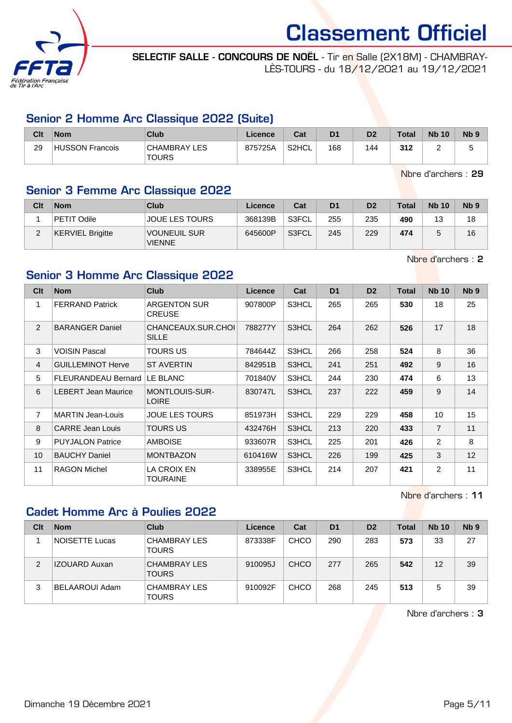![](_page_4_Picture_0.jpeg)

SELECTIF SALLE - CONCOURS DE NOËL - Tir en Salle (2X18M) - CHAMBRAY-LÈS-TOURS - du 18/12/2021 au 19/12/2021

### Senior 2 Homme Arc Classique 2022 (Suite)

| Clt | <b>Nom</b>      | Club                         | Licence | Cat   | D <sub>1</sub> | D <sub>2</sub> | Total | <b>Nb 10</b> | N <sub>b</sub> <sub>9</sub> |
|-----|-----------------|------------------------------|---------|-------|----------------|----------------|-------|--------------|-----------------------------|
| 29  | HUSSON Francois | CHAMBRAY LES<br><b>TOURS</b> | 875725A | S2HCL | 168            | 144            | 312   | -            | w                           |

Nbre d'archers : 29

## Senior 3 Femme Arc Classique 2022

| Clt | <b>Nom</b>              | Club                                 | Licence | Cat   | D <sub>1</sub> | D <sub>2</sub> | <b>Total</b> | <b>Nb 10</b> | N <sub>b</sub> <sub>9</sub> |
|-----|-------------------------|--------------------------------------|---------|-------|----------------|----------------|--------------|--------------|-----------------------------|
|     | PETIT Odile             | <b>JOUE LES TOURS</b>                | 368139B | S3FCL | 255            | 235            | 490          | 13           | 18                          |
|     | <b>KERVIEL Brigitte</b> | <b>VOUNEUIL SUR</b><br><b>VIENNE</b> | 645600P | S3FCL | 245            | 229            | 474          |              | 16                          |

Nbre d'archers : 2

## Senior 3 Homme Arc Classique 2022

| Clt            | <b>Nom</b>                 | Club                                 | <b>Licence</b> | Cat   | D <sub>1</sub> | D <sub>2</sub> | <b>Total</b> | <b>Nb 10</b>   | N <sub>b</sub> <sub>9</sub> |
|----------------|----------------------------|--------------------------------------|----------------|-------|----------------|----------------|--------------|----------------|-----------------------------|
| 1              | <b>FERRAND Patrick</b>     | <b>ARGENTON SUR</b><br><b>CREUSE</b> | 907800P        | S3HCL | 265            | 265            | 530          | 18             | 25                          |
| 2              | <b>BARANGER Daniel</b>     | CHANCEAUX.SUR.CHOI<br><b>SILLE</b>   | 788277Y        | S3HCL | 264            | 262            | 526          | 17             | 18                          |
| 3              | <b>VOISIN Pascal</b>       | TOURS US                             | 784644Z        | S3HCL | 266            | 258            | 524          | 8              | 36                          |
| $\overline{4}$ | <b>GUILLEMINOT Herve</b>   | <b>ST AVERTIN</b>                    | 842951B        | S3HCL | 241            | 251            | 492          | 9              | 16                          |
| 5              | <b>FLEURANDEAU Bernard</b> | LE BLANC                             | 701840V        | S3HCL | 244            | 230            | 474          | 6              | 13                          |
| 6              | <b>LEBERT Jean Maurice</b> | MONTLOUIS-SUR-<br><b>LOIRE</b>       | 830747L        | S3HCL | 237            | 222            | 459          | 9              | 14                          |
| $\overline{7}$ | <b>MARTIN Jean-Louis</b>   | JOUE LES TOURS                       | 851973H        | S3HCL | 229            | 229            | 458          | 10             | 15                          |
| 8              | <b>CARRE Jean Louis</b>    | TOURS US                             | 432476H        | S3HCL | 213            | 220            | 433          | $\overline{7}$ | 11                          |
| 9              | <b>PUYJALON Patrice</b>    | AMBOISE                              | 933607R        | S3HCL | 225            | 201            | 426          | 2              | 8                           |
| 10             | <b>BAUCHY Daniel</b>       | <b>MONTBAZON</b>                     | 610416W        | S3HCL | 226            | 199            | 425          | 3              | 12                          |
| 11             | <b>RAGON Michel</b>        | LA CROIX EN<br>TOURAINE              | 338955E        | S3HCL | 214            | 207            | 421          | 2              | 11                          |

Nbre d'archers : 11

### Cadet Homme Arc à Poulies 2022

| Clt | <b>Nom</b>           | Club                                | Licence | Cat         | D <sub>1</sub> | D <sub>2</sub> | <b>Total</b> | <b>Nb 10</b> | Nb <sub>9</sub> |
|-----|----------------------|-------------------------------------|---------|-------------|----------------|----------------|--------------|--------------|-----------------|
|     | NOISETTE Lucas       | <b>CHAMBRAY LES</b><br><b>TOURS</b> | 873338F | <b>CHCO</b> | 290            | 283            | 573          | 33           | 27              |
| 2   | <b>IZOUARD Auxan</b> | <b>CHAMBRAY LES</b><br><b>TOURS</b> | 910095J | CHCO        | 277            | 265            | 542          | 12           | 39              |
| 3   | BELAAROUI Adam       | <b>CHAMBRAY LES</b><br><b>TOURS</b> | 910092F | <b>CHCO</b> | 268            | 245            | 513          | 5            | 39              |

Nbre d'archers : 3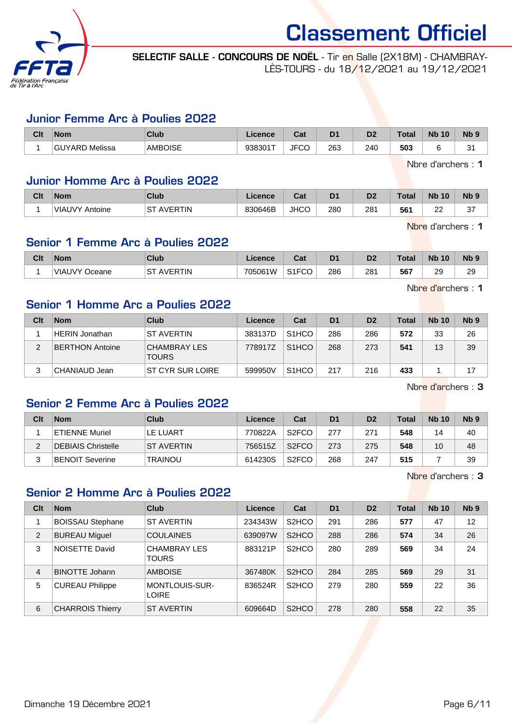![](_page_5_Picture_0.jpeg)

SELECTIF SALLE - CONCOURS DE NOËL - Tir en Salle (2X18M) - CHAMBRAY-LÈS-TOURS - du 18/12/2021 au 19/12/2021

#### Junior Femme Arc à Poulies 2022

| Clt | <b>Nom</b>               | Club           | Licence | <b>Dot</b><br>uai | D <sub>1</sub> | D <sub>2</sub> | Total | <b>Nb</b><br>10 | N <sub>b</sub> <sub>9</sub> |
|-----|--------------------------|----------------|---------|-------------------|----------------|----------------|-------|-----------------|-----------------------------|
|     | Melissa<br><b>GUYARD</b> | <b>AMBOISE</b> | 938301T | 1000<br>√JF<br>◡  | 263            | 240            | 503   |                 | c,<br>ັ                     |

Nbre d'archers : 1

#### Junior Homme Arc à Poulies 2022

| Clt | <b>Nom</b>            | Club                 | .icence | va.         | D1  | D2              | Total | <b>N<sub>b</sub></b><br>10 | <b>Nb</b>    |
|-----|-----------------------|----------------------|---------|-------------|-----|-----------------|-------|----------------------------|--------------|
|     | <b>VIAUVY Antoine</b> | SТ<br><b>AVERTIN</b> | 830646B | <b>JHCC</b> | 280 | 28 <sup>1</sup> | 561   | $\sim$<br>--               | $\sim$<br>ັັ |

Nbre d'archers : 1

### Senior 1 Femme Arc à Poulies 2022

| Clt | <b>Nom</b>           | Club                 | .icence | ◠っィ<br>ua.         | D <sub>1</sub> | D <sub>2</sub> | <b>Total</b> | <b>Nb</b><br>10 | <b>N<sub>b</sub></b> |
|-----|----------------------|----------------------|---------|--------------------|----------------|----------------|--------------|-----------------|----------------------|
|     | <b>VIAUVY Oceane</b> | ST<br><b>AVERTIN</b> | 705061W | S <sub>1</sub> FCO | 286            | 281            | 567          | 29<br>$\sim$    | 20<br>∠⊃             |

Nbre d'archers : 1

#### Senior 1 Homme Arc a Poulies 2022

| Clt | <b>Nom</b>             | Club                                | Licence | Cat                | D <sub>1</sub> | D <sub>2</sub> | <b>Total</b> | <b>Nb 10</b> | N <sub>b</sub> <sub>9</sub> |
|-----|------------------------|-------------------------------------|---------|--------------------|----------------|----------------|--------------|--------------|-----------------------------|
|     | <b>HERIN Jonathan</b>  | <b>ST AVERTIN</b>                   | 383137D | S <sub>1</sub> HCO | 286            | 286            | 572          | 33           | 26                          |
|     | <b>BERTHON Antoine</b> | <b>CHAMBRAY LES</b><br><b>TOURS</b> | 778917Z | S <sub>1</sub> HCO | 268            | 273            | 541          | 13           | 39                          |
| 3   | CHANIAUD Jean          | ST CYR SUR LOIRE                    | 599950V | S <sub>1</sub> HCO | 217            | 216            | 433          |              |                             |

Nbre d'archers : 3

#### Senior 2 Femme Arc à Poulies 2022

| Clt | <b>Nom</b>             | Club              | Licence | Cat                | D <sub>1</sub> | D <sub>2</sub> | Total | <b>Nb 10</b> | N <sub>b</sub> <sub>9</sub> |
|-----|------------------------|-------------------|---------|--------------------|----------------|----------------|-------|--------------|-----------------------------|
|     | <b>ETIENNE Muriel</b>  | LE LUART          | 770822A | S <sub>2</sub> FCO | 277            | 271            | 548   | 14           | 40                          |
|     | DEBIAIS Christelle     | <b>ST AVERTIN</b> | 756515Z | S <sub>2</sub> FCO | 273            | 275            | 548   | 10           | 48                          |
|     | <b>BENOIT Severine</b> | <b>TRAINOU</b>    | 614230S | S <sub>2</sub> FCO | 268            | 247            | 515   |              | 39                          |

Nbre d'archers : 3

#### Senior 2 Homme Arc à Poulies 2022

| Clt | <b>Nom</b>              | Club                                | Licence | Cat                | D <sub>1</sub> | D <sub>2</sub> | <b>Total</b> | <b>Nb 10</b> | Nb <sub>9</sub> |
|-----|-------------------------|-------------------------------------|---------|--------------------|----------------|----------------|--------------|--------------|-----------------|
|     | <b>BOISSAU Stephane</b> | <b>ST AVERTIN</b>                   | 234343W | S <sub>2</sub> HCO | 291            | 286            | 577          | 47           | 12              |
| 2   | <b>BUREAU Miguel</b>    | <b>COULAINES</b>                    | 639097W | S <sub>2</sub> HCO | 288            | 286            | 574          | 34           | 26              |
| 3   | <b>NOISETTE David</b>   | <b>CHAMBRAY LES</b><br><b>TOURS</b> | 883121P | S <sub>2</sub> HCO | 280            | 289            | 569          | 34           | 24              |
| 4   | <b>BINOTTE Johann</b>   | <b>AMBOISE</b>                      | 367480K | S <sub>2</sub> HCO | 284            | 285            | 569          | 29           | 31              |
| 5   | <b>CUREAU Philippe</b>  | MONTLOUIS-SUR-<br><b>LOIRE</b>      | 836524R | S <sub>2</sub> HCO | 279            | 280            | 559          | 22           | 36              |
| 6   | <b>CHARROIS Thierry</b> | <b>ST AVERTIN</b>                   | 609664D | S <sub>2</sub> HCO | 278            | 280            | 558          | 22           | 35              |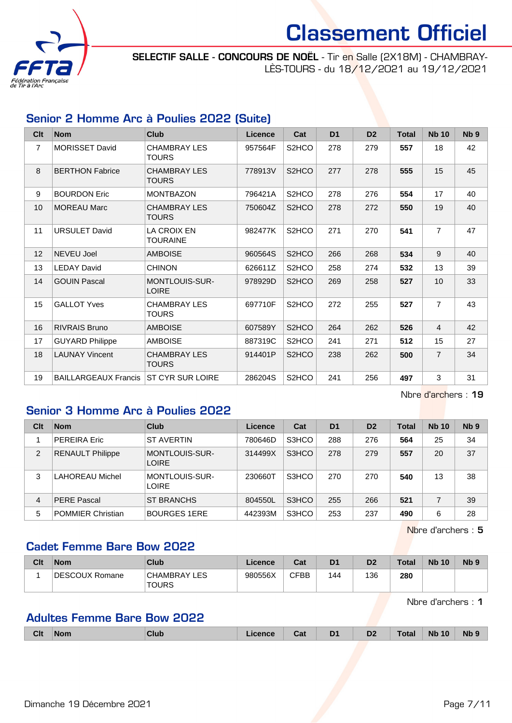![](_page_6_Picture_0.jpeg)

SELECTIF SALLE - CONCOURS DE NOËL - Tir en Salle (2X18M) - CHAMBRAY-LÈS-TOURS - du 18/12/2021 au 19/12/2021

### Senior 2 Homme Arc à Poulies 2022 (Suite)

| Clt            | <b>Nom</b>                  | <b>Club</b>                           | <b>Licence</b> | Cat                | D <sub>1</sub> | D <sub>2</sub> | <b>Total</b> | <b>Nb 10</b>    | N <sub>b</sub> <sub>9</sub> |
|----------------|-----------------------------|---------------------------------------|----------------|--------------------|----------------|----------------|--------------|-----------------|-----------------------------|
| $\overline{7}$ | <b>MORISSET David</b>       | <b>CHAMBRAY LES</b><br><b>TOURS</b>   | 957564F        | S2HCO              | 278            | 279            | 557          | 18              | 42                          |
| 8              | <b>BERTHON Fabrice</b>      | <b>CHAMBRAY LES</b><br><b>TOURS</b>   | 778913V        | S <sub>2</sub> HCO | 277            | 278            | 555          | 15              | 45                          |
| 9              | <b>BOURDON Eric</b>         | <b>MONTBAZON</b>                      | 796421A        | S2HCO              | 278            | 276            | 554          | 17              | 40                          |
| 10             | <b>MOREAU Marc</b>          | <b>CHAMBRAY LES</b><br><b>TOURS</b>   | 750604Z        | S <sub>2</sub> HCO | 278            | 272            | 550          | 19              | 40                          |
| 11             | <b>URSULET David</b>        | LA CROIX EN<br><b>TOURAINE</b>        | 982477K        | S <sub>2</sub> HCO | 271            | 270            | 541          | $\overline{7}$  | 47                          |
| 12             | NEVEU Joel                  | <b>AMBOISE</b>                        | 960564S        | S <sub>2</sub> HCO | 266            | 268            | 534          | 9               | 40                          |
| 13             | <b>LEDAY David</b>          | <b>CHINON</b>                         | 626611Z        | S <sub>2</sub> HCO | 258            | 274            | 532          | 13              | 39                          |
| 14             | <b>GOUIN Pascal</b>         | <b>MONTLOUIS-SUR-</b><br><b>LOIRE</b> | 978929D        | S2HCO              | 269            | 258            | 527          | 10 <sup>1</sup> | 33                          |
| 15             | <b>GALLOT Yves</b>          | <b>CHAMBRAY LES</b><br><b>TOURS</b>   | 697710F        | S2HCO              | 272            | 255            | 527          | $\overline{7}$  | 43                          |
| 16             | <b>RIVRAIS Bruno</b>        | <b>AMBOISE</b>                        | 607589Y        | S <sub>2</sub> HCO | 264            | 262            | 526          | 4               | 42                          |
| 17             | <b>GUYARD Philippe</b>      | <b>AMBOISE</b>                        | 887319C        | S <sub>2</sub> HCO | 241            | 271            | 512          | 15              | 27                          |
| 18             | <b>LAUNAY Vincent</b>       | <b>CHAMBRAY LES</b><br><b>TOURS</b>   | 914401P        | S2HCO              | 238            | 262            | 500          | $\overline{7}$  | 34                          |
| 19             | <b>BAILLARGEAUX Francis</b> | <b>ST CYR SUR LOIRE</b>               | 286204S        | S <sub>2</sub> HCO | 241            | 256            | 497          | 3               | 31                          |

Nbre d'archers : 19

### Senior 3 Homme Arc à Poulies 2022

| Clt            | <b>Nom</b>               | Club                           | Licence | Cat   | D <sub>1</sub> | D <sub>2</sub> | <b>Total</b> | <b>Nb 10</b> | Nb <sub>9</sub> |
|----------------|--------------------------|--------------------------------|---------|-------|----------------|----------------|--------------|--------------|-----------------|
|                | <b>PEREIRA Eric</b>      | <b>ST AVERTIN</b>              | 780646D | S3HCO | 288            | 276            | 564          | 25           | 34              |
| $\overline{2}$ | <b>RENAULT Philippe</b>  | MONTLOUIS-SUR-<br><b>LOIRE</b> | 314499X | S3HCO | 278            | 279            | 557          | 20           | 37              |
| 3              | LAHOREAU Michel          | MONTLOUIS-SUR-<br><b>LOIRE</b> | 230660T | S3HCO | 270            | 270            | 540          | 13           | 38              |
| 4              | <b>PERE Pascal</b>       | ST BRANCHS                     | 804550L | S3HCO | 255            | 266            | 521          |              | 39              |
| 5              | <b>POMMIER Christian</b> | <b>BOURGES 1ERE</b>            | 442393M | S3HCO | 253            | 237            | 490          | 6            | 28              |

Nbre d'archers : 5

#### Cadet Femme Bare Bow 2022

| Clt | <b>Nom</b>     | Club                         | Licence | Cat  | D <sub>1</sub> | D <sub>2</sub> | Total | <b>Nb 10</b> | N <sub>b</sub> <sub>9</sub> |
|-----|----------------|------------------------------|---------|------|----------------|----------------|-------|--------------|-----------------------------|
|     | DESCOUX Romane | CHAMBRAY LES<br><b>TOURS</b> | 980556X | CFBB | 144            | 136            | 280   |              |                             |

Nbre d'archers : 1

# Adultes Femme Bare Bow 2022

|  | <b>Clt</b> | Nom | Club | icence | <b>TABLE</b><br>ual | D.<br>- - | D <sub>2</sub> | <b>Total</b> | <b>N<sub>b</sub></b><br>10 | Nb |
|--|------------|-----|------|--------|---------------------|-----------|----------------|--------------|----------------------------|----|
|--|------------|-----|------|--------|---------------------|-----------|----------------|--------------|----------------------------|----|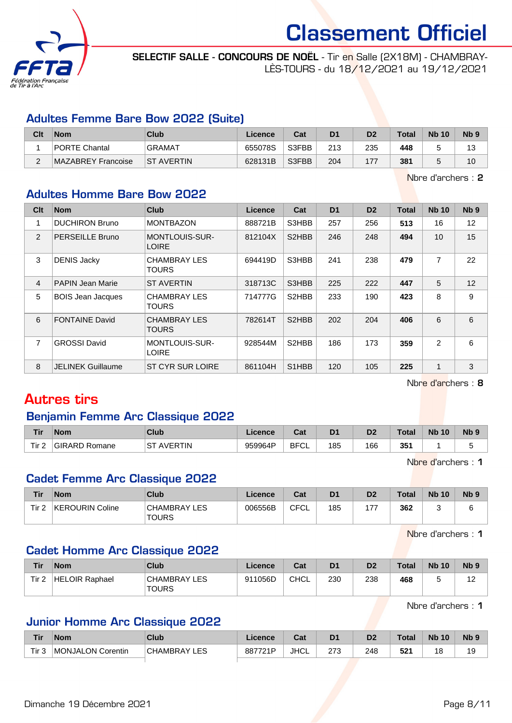![](_page_7_Picture_0.jpeg)

SELECTIF SALLE - CONCOURS DE NOËL - Tir en Salle (2X18M) - CHAMBRAY-LÈS-TOURS - du 18/12/2021 au 19/12/2021

#### Adultes Femme Bare Bow 2022 (Suite)

| Clt | <b>Nom</b>           | Club              | Licence | Cat   | D <sub>1</sub> | D <sub>2</sub> | <b>Total</b> | <b>Nb 10</b> | N <sub>b</sub> <sub>9</sub> |
|-----|----------------------|-------------------|---------|-------|----------------|----------------|--------------|--------------|-----------------------------|
|     | <b>PORTE Chantal</b> | <b>GRAMAT</b>     | 655078S | S3FBB | 213            | 235            | 448          |              | ت ا                         |
|     | MAZABREY Francoise   | <b>ST AVERTIN</b> | 628131B | S3FBB | 204            | 177            | 381          |              | 10                          |

Nbre d'archers : 2

#### Adultes Homme Bare Bow 2022

| Clt            | <b>Nom</b>               | <b>Club</b>                           | Licence | Cat                             | D <sub>1</sub> | D <sub>2</sub> | <b>Total</b> | <b>Nb 10</b> | N <sub>b</sub> <sub>9</sub> |
|----------------|--------------------------|---------------------------------------|---------|---------------------------------|----------------|----------------|--------------|--------------|-----------------------------|
| 1              | <b>DUCHIRON Bruno</b>    | <b>MONTBAZON</b>                      | 888721B | S3HBB                           | 257            | 256            | 513          | 16           | 12                          |
| 2              | <b>PERSEILLE Bruno</b>   | <b>MONTLOUIS-SUR-</b><br><b>LOIRE</b> | 812104X | S2HBB                           | 246            | 248            | 494          | 10           | 15                          |
| 3              | <b>DENIS Jacky</b>       | CHAMBRAY LES<br>TOURS                 | 694419D | S3HBB                           | 241            | 238            | 479          | 7            | 22                          |
| $\overline{4}$ | <b>PAPIN Jean Marie</b>  | <b>ST AVERTIN</b>                     | 318713C | S3HBB                           | 225            | 222            | 447          | 5            | 12                          |
| 5              | <b>BOIS Jean Jacques</b> | <b>CHAMBRAY LES</b><br>TOURS          | 714777G | S2HBB                           | 233            | 190            | 423          | 8            | 9                           |
| 6              | <b>FONTAINE David</b>    | <b>CHAMBRAY LES</b><br>TOURS          | 782614T | S <sub>2</sub> H <sub>B</sub> B | 202            | 204            | 406          | 6            | 6                           |
| 7              | <b>GROSSI David</b>      | <b>MONTLOUIS-SUR-</b><br><b>LOIRE</b> | 928544M | S <sub>2</sub> HBB              | 186            | 173            | 359          | 2            | 6                           |
| 8              | <b>JELINEK Guillaume</b> | <b>ST CYR SUR LOIRE</b>               | 861104H | S <sub>1</sub> H <sub>B</sub> B | 120            | 105            | 225          | $\mathbf{1}$ | 3                           |

Nbre d'archers : 8

# Autres tirs

### Benjamin Femme Arc Classique 2022

| <b>Tir</b> | <b>Nom</b>    | Club                  | Licence | ⊶ ∼<br>ua         | D <sub>1</sub> | D <sub>2</sub> | <b>Total</b> | <b>N<sub>b</sub></b><br>10 | <b>Nb</b> |
|------------|---------------|-----------------------|---------|-------------------|----------------|----------------|--------------|----------------------------|-----------|
| Tir 2<br>_ | GIRARD Romane | ⊣S⊤<br><b>AVERTIN</b> | 959964P | <b>BFCI</b><br>◡∟ | 185            | 166            | 351          |                            |           |

Nbre d'archers : 1

#### Cadet Femme Arc Classique 2022

| Tir   | <b>Nom</b>      | Club                         | ∟icence | Cat  | D <sub>1</sub> | D <sub>2</sub> | <b>Total</b> | <b>Nb 10</b> | Nb <sub>5</sub> |
|-------|-----------------|------------------------------|---------|------|----------------|----------------|--------------|--------------|-----------------|
| Tir 2 | KEROURIN Coline | CHAMBRAY LES<br><b>TOURS</b> | 006556B | CFCL | 185            | 177            | 362          |              |                 |

Nbre d'archers : 1

#### Cadet Homme Arc Classique 2022

| Tir   | Nom            | Club                  | Licence | Cat         | D <sub>1</sub> | D <sub>2</sub> | Total | <b>Nb 10</b> | N <sub>b</sub> <sub>9</sub> |
|-------|----------------|-----------------------|---------|-------------|----------------|----------------|-------|--------------|-----------------------------|
| Tir 2 | HELOIR Raphael | CHAMBRAY LES<br>TOURS | 911056D | <b>CHCL</b> | 230            | 238            | 468   |              | . .                         |

Nbre d'archers : 1

### Junior Homme Arc Classique 2022

| <b>Tir</b>       | <b>Nom</b>        | Club                   | Licence | $R_{\rm eff}$<br>⊍ના | D1  | D <sub>0</sub><br>ש | <b>Total</b>     | <b>Nb</b><br>10 | N <sub>b</sub> <sub>9</sub> |
|------------------|-------------------|------------------------|---------|----------------------|-----|---------------------|------------------|-----------------|-----------------------------|
| Tir <sub>3</sub> | MONJALON Corentin | LES<br><b>CHAMBRAY</b> | 887721P | <b>JHCL</b>          | 273 | 248                 | <b>EO4</b><br>JZ | 18              | 19                          |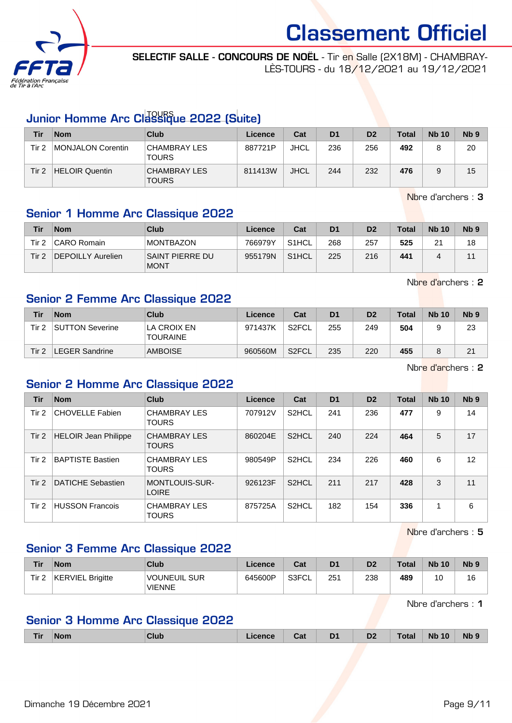![](_page_8_Picture_0.jpeg)

SELECTIF SALLE - CONCOURS DE NOËL - Tir en Salle (2X18M) - CHAMBRAY-LÈS-TOURS - du 18/12/2021 au 19/12/2021

# Junior Homme Arc Classique 2022 (Suite)

| Tir   | <b>Nom</b>            | Club                         | Licence | Cat         | D <sub>1</sub> | D <sub>2</sub> | <b>Total</b> | <b>Nb 10</b> | Nb <sub>9</sub> |
|-------|-----------------------|------------------------------|---------|-------------|----------------|----------------|--------------|--------------|-----------------|
| Tir 2 | MONJALON Corentin     | CHAMBRAY LES<br><b>TOURS</b> | 887721P | <b>JHCL</b> | 236            | 256            | 492          |              | 20              |
| Tir 2 | <b>HELOIR Quentin</b> | CHAMBRAY LES<br><b>TOURS</b> | 811413W | <b>JHCL</b> | 244            | 232            | 476          |              | 15              |

Nbre d'archers : 3

## Senior 1 Homme Arc Classique 2022

| <b>Tir</b> | <b>Nom</b>        | Club                           | Licence | Cat                | D <sub>1</sub> | D <sub>2</sub> | <b>Total</b> | <b>Nb 10</b> | N <sub>b</sub> <sub>9</sub> |
|------------|-------------------|--------------------------------|---------|--------------------|----------------|----------------|--------------|--------------|-----------------------------|
| Tir 2      | CARO Romain       | <b>MONTBAZON</b>               | 766979Y | S <sub>1</sub> HCL | 268            | 257            | 525          | 21           | 18                          |
| Tir 2      | DEPOILLY Aurelien | SAINT PIERRE DU<br><b>MONT</b> | 955179N | S <sub>1</sub> HCL | 225            | 216            | 441          |              |                             |

Nbre d'archers : 2

### Senior 2 Femme Arc Classique 2022

| Tir   | <b>Nom</b>             | Club                           | Licence | Cat                | D <sub>1</sub> | D <sub>2</sub> | Total | <b>Nb 10</b> | N <sub>b</sub> <sub>9</sub> |
|-------|------------------------|--------------------------------|---------|--------------------|----------------|----------------|-------|--------------|-----------------------------|
| Tir 2 | <b>SUTTON Severine</b> | LA CROIX EN<br><b>TOURAINE</b> | 971437K | S2FCL              | 255            | 249            | 504   |              | 23                          |
| Tir 2 | <b>LEGER Sandrine</b>  | <b>AMBOISE</b>                 | 960560M | S <sub>2</sub> FCL | 235            | 220            | 455   |              | 21                          |

Nbre d'archers : 2

### Senior 2 Homme Arc Classique 2022

| Tir   | <b>Nom</b>                  | Club                                  | Licence | Cat                | D <sub>1</sub> | D <sub>2</sub> | <b>Total</b> | <b>Nb 10</b> | N <sub>b</sub> <sub>9</sub> |
|-------|-----------------------------|---------------------------------------|---------|--------------------|----------------|----------------|--------------|--------------|-----------------------------|
| Tir 2 | <b>CHOVELLE Fabien</b>      | <b>CHAMBRAY LES</b><br><b>TOURS</b>   | 707912V | S <sub>2</sub> HCL | 241            | 236            | 477          | 9            | 14                          |
| Tir 2 | <b>HELOIR Jean Philippe</b> | <b>CHAMBRAY LES</b><br><b>TOURS</b>   | 860204E | S <sub>2</sub> HCL | 240            | 224            | 464          | 5            | 17                          |
| Tir 2 | <b>BAPTISTE Bastien</b>     | <b>CHAMBRAY LES</b><br><b>TOURS</b>   | 980549P | S <sub>2</sub> HCL | 234            | 226            | 460          | 6            | 12                          |
| Tir 2 | <b>DATICHE Sebastien</b>    | <b>MONTLOUIS-SUR-</b><br><b>LOIRE</b> | 926123F | S <sub>2</sub> HCL | 211            | 217            | 428          | 3            | 11                          |
| Tir 2 | <b>HUSSON Francois</b>      | <b>CHAMBRAY LES</b><br>TOURS          | 875725A | S <sub>2</sub> HCL | 182            | 154            | 336          | 1            | 6                           |

Nbre d'archers : 5

### Senior 3 Femme Arc Classique 2022

| Tir              | <b>Nom</b>              | <b>Club</b>                          | Licence | Cat   | D1  | D <sub>2</sub> | <b>Total</b> | <b>Nb 10</b> | N <sub>b</sub> <sub>9</sub> |
|------------------|-------------------------|--------------------------------------|---------|-------|-----|----------------|--------------|--------------|-----------------------------|
| Tir <sub>2</sub> | <b>KERVIEL Brigitte</b> | <b>VOUNEUIL SUR</b><br><b>VIENNE</b> | 645600P | S3FCL | 251 | 238            | 489          | 10           | 16                          |

Nbre d'archers : 1

### Senior 3 Homme Arc Classique 2022

|  | <u>Fir</u> | <b>Nom</b> | <b>Clut</b> |  | ∪at | Dr | $\mathbf{a}$<br>υz | otal | <b>Nb</b><br>10 | <b>Nb</b> |
|--|------------|------------|-------------|--|-----|----|--------------------|------|-----------------|-----------|
|--|------------|------------|-------------|--|-----|----|--------------------|------|-----------------|-----------|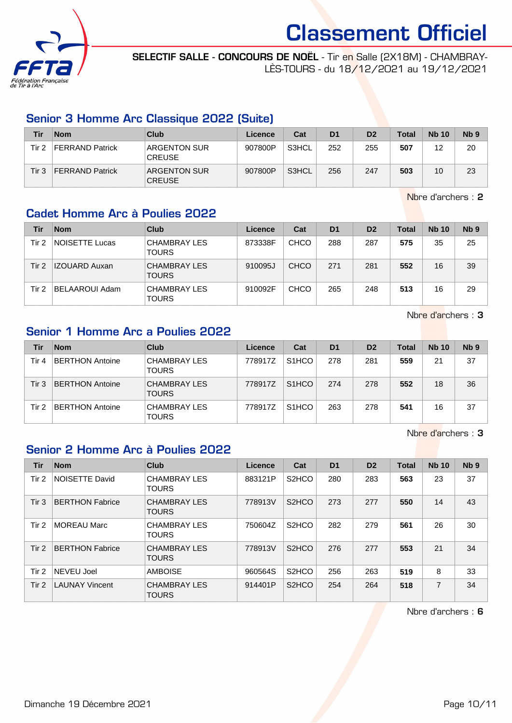![](_page_9_Picture_0.jpeg)

SELECTIF SALLE - CONCOURS DE NOËL - Tir en Salle (2X18M) - CHAMBRAY-LÈS-TOURS - du 18/12/2021 au 19/12/2021

### Senior 3 Homme Arc Classique 2022 (Suite)

| Tir   | <b>Nom</b>             | Club                                 | Licence | Cat   | D <sub>1</sub> | D <sub>2</sub> | <b>Total</b> | <b>Nb 10</b> | Nb <sub>9</sub> |
|-------|------------------------|--------------------------------------|---------|-------|----------------|----------------|--------------|--------------|-----------------|
| Tir 2 | FERRAND Patrick        | <b>ARGENTON SUR</b><br><b>CREUSE</b> | 907800P | S3HCL | 252            | 255            | 507          | 12           | 20              |
| Tir 3 | <b>FERRAND Patrick</b> | <b>ARGENTON SUR</b><br><b>CREUSE</b> | 907800P | S3HCL | 256            | 247            | 503          | 10           | 23              |

Nbre d'archers : 2

### Cadet Homme Arc à Poulies 2022

| Tir   | <b>Nom</b>            | Club                                | Licence | Cat         | D <sub>1</sub> | D <sub>2</sub> | <b>Total</b> | <b>Nb 10</b> | N <sub>b</sub> <sub>9</sub> |
|-------|-----------------------|-------------------------------------|---------|-------------|----------------|----------------|--------------|--------------|-----------------------------|
| Tir 2 | <b>NOISETTE Lucas</b> | <b>CHAMBRAY LES</b><br><b>TOURS</b> | 873338F | <b>CHCO</b> | 288            | 287            | 575          | 35           | 25                          |
| Tir 2 | <b>IZOUARD Auxan</b>  | <b>CHAMBRAY LES</b><br><b>TOURS</b> | 910095J | <b>CHCO</b> | 271            | 281            | 552          | 16           | 39                          |
| Tir 2 | BELAAROUI Adam        | <b>CHAMBRAY LES</b><br><b>TOURS</b> | 910092F | CHCO        | 265            | 248            | 513          | 16           | 29                          |

Nbre d'archers : 3

### Senior 1 Homme Arc a Poulies 2022

| Tir      | <b>Nom</b>             | Club                                | Licence | Cat                | D <sub>1</sub> | D <sub>2</sub> | <b>Total</b> | <b>Nb 10</b> | Nb <sub>9</sub> |
|----------|------------------------|-------------------------------------|---------|--------------------|----------------|----------------|--------------|--------------|-----------------|
| Tir 4    | <b>BERTHON Antoine</b> | <b>CHAMBRAY LES</b><br><b>TOURS</b> | 778917Z | S <sub>1</sub> HCO | 278            | 281            | 559          | 21           | 37              |
| $T$ ir 3 | <b>BERTHON Antoine</b> | <b>CHAMBRAY LES</b><br><b>TOURS</b> | 778917Z | S <sub>1</sub> HCO | 274            | 278            | 552          | 18           | 36              |
| Tir 2    | <b>BERTHON Antoine</b> | <b>CHAMBRAY LES</b><br><b>TOURS</b> | 778917Z | S <sub>1</sub> HCO | 263            | 278            | 541          | 16           | 37              |

Nbre d'archers : 3

#### Senior 2 Homme Arc à Poulies 2022

| Tir              | <b>Nom</b>             | Club                                | Licence | Cat                | D <sub>1</sub> | D <sub>2</sub> | <b>Total</b> | <b>Nb 10</b> | N <sub>b</sub> <sub>9</sub> |
|------------------|------------------------|-------------------------------------|---------|--------------------|----------------|----------------|--------------|--------------|-----------------------------|
| Tir 2            | NOISETTE David         | <b>CHAMBRAY LES</b><br><b>TOURS</b> | 883121P | S <sub>2</sub> HCO | 280            | 283            | 563          | 23           | 37                          |
| Tir <sub>3</sub> | <b>BERTHON Fabrice</b> | <b>CHAMBRAY LES</b><br><b>TOURS</b> | 778913V | S <sub>2</sub> HCO | 273            | 277            | 550          | 14           | 43                          |
| Tir 2            | <b>MOREAU Marc</b>     | <b>CHAMBRAY LES</b><br><b>TOURS</b> | 750604Z | S <sub>2</sub> HCO | 282            | 279            | 561          | 26           | 30                          |
| Tir $2$          | <b>BERTHON Fabrice</b> | <b>CHAMBRAY LES</b><br><b>TOURS</b> | 778913V | S <sub>2</sub> HCO | 276            | 277            | 553          | 21           | 34                          |
| Tir 2            | NEVEU Joel             | <b>AMBOISE</b>                      | 960564S | S <sub>2</sub> HCO | 256            | 263            | 519          | 8            | 33                          |
| Tir 2            | <b>LAUNAY Vincent</b>  | <b>CHAMBRAY LES</b><br><b>TOURS</b> | 914401P | S <sub>2</sub> HCO | 254            | 264            | 518          | 7            | 34                          |

Nbre d'archers : 6